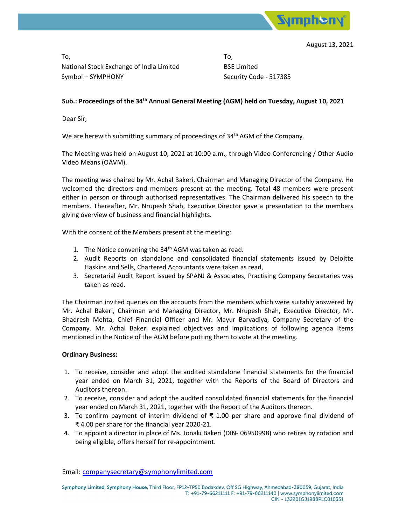

August 13, 2021

To, National Stock Exchange of India Limited Symbol – SYMPHONY

To, BSE Limited Security Code - 517385

## Sub.: Proceedings of the 34<sup>th</sup> Annual General Meeting (AGM) held on Tuesday, August 10, 2021

Dear Sir,

We are herewith submitting summary of proceedings of 34<sup>th</sup> AGM of the Company.

The Meeting was held on August 10, 2021 at 10:00 a.m., through Video Conferencing / Other Audio Video Means (OAVM).

The meeting was chaired by Mr. Achal Bakeri, Chairman and Managing Director of the Company. He welcomed the directors and members present at the meeting. Total 48 members were present either in person or through authorised representatives. The Chairman delivered his speech to the members. Thereafter, Mr. Nrupesh Shah, Executive Director gave a presentation to the members giving overview of business and financial highlights.

With the consent of the Members present at the meeting:

- 1. The Notice convening the  $34<sup>th</sup>$  AGM was taken as read.
- 2. Audit Reports on standalone and consolidated financial statements issued by Deloitte Haskins and Sells, Chartered Accountants were taken as read,
- 3. Secretarial Audit Report issued by SPANJ & Associates, Practising Company Secretaries was taken as read.

The Chairman invited queries on the accounts from the members which were suitably answered by Mr. Achal Bakeri, Chairman and Managing Director, Mr. Nrupesh Shah, Executive Director, Mr. Bhadresh Mehta, Chief Financial Officer and Mr. Mayur Barvadiya, Company Secretary of the Company. Mr. Achal Bakeri explained objectives and implications of following agenda items mentioned in the Notice of the AGM before putting them to vote at the meeting.

## Ordinary Business:

- 1. To receive, consider and adopt the audited standalone financial statements for the financial year ended on March 31, 2021, together with the Reports of the Board of Directors and Auditors thereon.
- 2. To receive, consider and adopt the audited consolidated financial statements for the financial year ended on March 31, 2021, together with the Report of the Auditors thereon.
- 3. To confirm payment of interim dividend of ₹ 1.00 per share and approve final dividend of ₹ 4.00 per share for the financial year 2020-21.
- 4. To appoint a director in place of Ms. Jonaki Bakeri (DIN- 06950998) who retires by rotation and being eligible, offers herself for re-appointment.

Email: companysecretary@symphonylimited.com